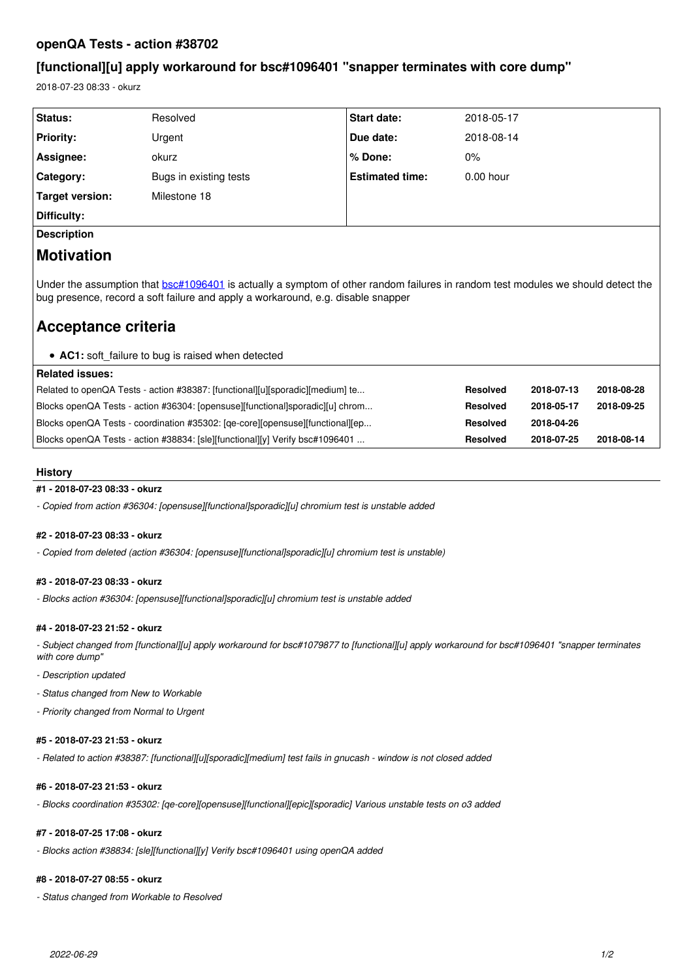# **openQA Tests - action #38702**

# **[functional][u] apply workaround for bsc#1096401 "snapper terminates with core dump"**

2018-07-23 08:33 - okurz

| Status:                                                                                                                                                                                                                                                                                                  | Resolved               | Start date:            | 2018-05-17      |            |            |
|----------------------------------------------------------------------------------------------------------------------------------------------------------------------------------------------------------------------------------------------------------------------------------------------------------|------------------------|------------------------|-----------------|------------|------------|
| <b>Priority:</b>                                                                                                                                                                                                                                                                                         | Urgent                 | Due date:              | 2018-08-14      |            |            |
| Assignee:                                                                                                                                                                                                                                                                                                | okurz                  | % Done:                | 0%              |            |            |
| Category:                                                                                                                                                                                                                                                                                                | Bugs in existing tests | <b>Estimated time:</b> | $0.00$ hour     |            |            |
| Target version:                                                                                                                                                                                                                                                                                          | Milestone 18           |                        |                 |            |            |
| Difficulty:                                                                                                                                                                                                                                                                                              |                        |                        |                 |            |            |
| <b>Description</b>                                                                                                                                                                                                                                                                                       |                        |                        |                 |            |            |
| <b>Motivation</b>                                                                                                                                                                                                                                                                                        |                        |                        |                 |            |            |
| Under the assumption that <b>bsc#1096401</b> is actually a symptom of other random failures in random test modules we should detect the<br>bug presence, record a soft failure and apply a workaround, e.g. disable snapper<br>Acceptance criteria<br>• AC1: soft failure to bug is raised when detected |                        |                        |                 |            |            |
| <b>Related issues:</b>                                                                                                                                                                                                                                                                                   |                        |                        |                 |            |            |
| Related to openQA Tests - action #38387: [functional][u][sporadic][medium] te                                                                                                                                                                                                                            |                        |                        | <b>Resolved</b> | 2018-07-13 | 2018-08-28 |
| Blocks openQA Tests - action #36304: [opensuse][functional]sporadic][u] chrom                                                                                                                                                                                                                            |                        |                        | <b>Resolved</b> | 2018-05-17 | 2018-09-25 |
| Blocks openQA Tests - coordination #35302: [qe-core][opensuse][functional][ep                                                                                                                                                                                                                            |                        |                        | <b>Resolved</b> | 2018-04-26 |            |
| Blocks openQA Tests - action #38834: [sle][functional][y] Verify bsc#1096401                                                                                                                                                                                                                             |                        |                        | <b>Resolved</b> | 2018-07-25 | 2018-08-14 |

## **History**

## **#1 - 2018-07-23 08:33 - okurz**

*- Copied from action #36304: [opensuse][functional]sporadic][u] chromium test is unstable added*

## **#2 - 2018-07-23 08:33 - okurz**

*- Copied from deleted (action #36304: [opensuse][functional]sporadic][u] chromium test is unstable)*

## **#3 - 2018-07-23 08:33 - okurz**

*- Blocks action #36304: [opensuse][functional]sporadic][u] chromium test is unstable added*

## **#4 - 2018-07-23 21:52 - okurz**

*- Subject changed from [functional][u] apply workaround for bsc#1079877 to [functional][u] apply workaround for bsc#1096401 "snapper terminates with core dump"*

- *Description updated*
- *Status changed from New to Workable*
- *Priority changed from Normal to Urgent*

#### **#5 - 2018-07-23 21:53 - okurz**

*- Related to action #38387: [functional][u][sporadic][medium] test fails in gnucash - window is not closed added*

## **#6 - 2018-07-23 21:53 - okurz**

*- Blocks coordination #35302: [qe-core][opensuse][functional][epic][sporadic] Various unstable tests on o3 added*

## **#7 - 2018-07-25 17:08 - okurz**

*- Blocks action #38834: [sle][functional][y] Verify bsc#1096401 using openQA added*

## **#8 - 2018-07-27 08:55 - okurz**

*- Status changed from Workable to Resolved*